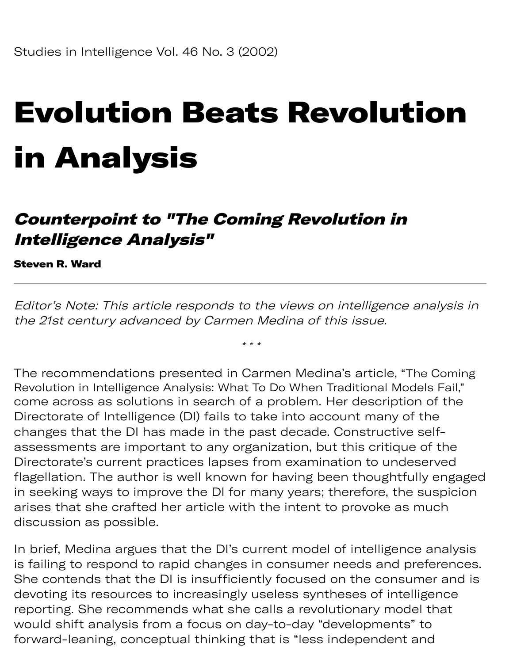# Evolution Beats Revolution in Analysis

#### Counterpoint to "The Coming Revolution in Intelligence Analysis"

Steven R. Ward

Editor's Note: This article responds to the views on intelligence analysis in the 21st century advanced by Carmen Medina of this issue.

\* \* \*

The recommendations presented in Carmen Medina's article, "The Coming Revolution in Intelligence Analysis: What To Do When Traditional Models Fail," come across as solutions in search of a problem. Her description of the Directorate of Intelligence (DI) fails to take into account many of the changes that the DI has made in the past decade. Constructive selfassessments are important to any organization, but this critique of the Directorate's current practices lapses from examination to undeserved flagellation. The author is well known for having been thoughtfully engaged in seeking ways to improve the DI for many years; therefore, the suspicion arises that she crafted her article with the intent to provoke as much discussion as possible.

In brief, Medina argues that the DI's current model of intelligence analysis is failing to respond to rapid changes in consumer needs and preferences. She contends that the DI is insufficiently focused on the consumer and is devoting its resources to increasingly useless syntheses of intelligence reporting. She recommends what she calls a revolutionary model that would shift analysis from a focus on day-to-day "developments" to forward-leaning, conceptual thinking that is "less independent and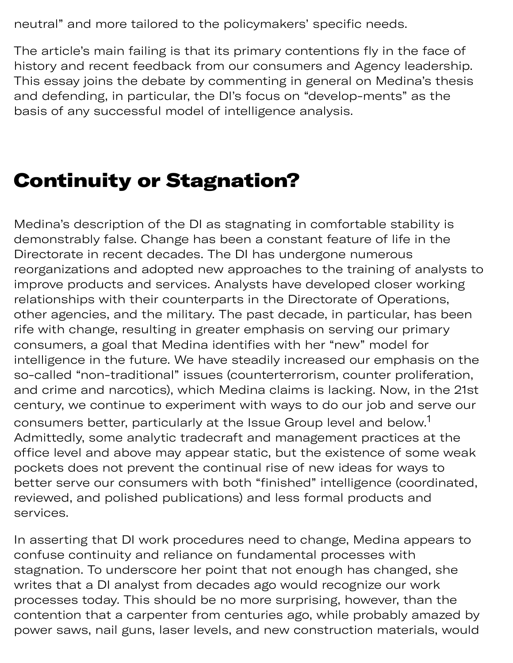neutral" and more tailored to the policymakers' specific needs.

ning eptual thinking tha dep

The article's main failing is that its primary contentions fly in the face of history and recent feedback from our consumers and Agency leadership. This essay joins the debate by commenting in general on Medina's thesis and defending, in particular, the DI's focus on "develop-ments" as the basis of any successful model of intelligence analysis.

#### Continuity or Stagnation?

Medina's description of the DI as stagnating in comfortable stability is demonstrably false. Change has been a constant feature of life in the Directorate in recent decades. The DI has undergone numerous reorganizations and adopted new approaches to the training of analysts to improve products and services. Analysts have developed closer working relationships with their counterparts in the Directorate of Operations, other agencies, and the military. The past decade, in particular, has been rife with change, resulting in greater emphasis on serving our primary consumers, a goal that Medina identifies with her "new" model for intelligence in the future. We have steadily increased our emphasis on the so-called "non-traditional" issues (counterterrorism, counter proliferation, and crime and narcotics), which Medina claims is lacking. Now, in the 21st century, we continue to experiment with ways to do our job and serve our consumers better, particularly at the Issue Group level and below. $^\mathrm{1}$ Admittedly, some analytic tradecraft and management practices at the office level and above may appear static, but the existence of some weak pockets does not prevent the continual rise of new ideas for ways to better serve our consumers with both "finished" intelligence (coordinated, reviewed, and polished publications) and less formal products and services.

In asserting that DI work procedures need to change, Medina appears to confuse continuity and reliance on fundamental processes with stagnation. To underscore her point that not enough has changed, she writes that a DI analyst from decades ago would recognize our work processes today. This should be no more surprising, however, than the contention that a carpenter from centuries ago, while probably amazed by power saws, nail guns, laser levels, and new construction materials, would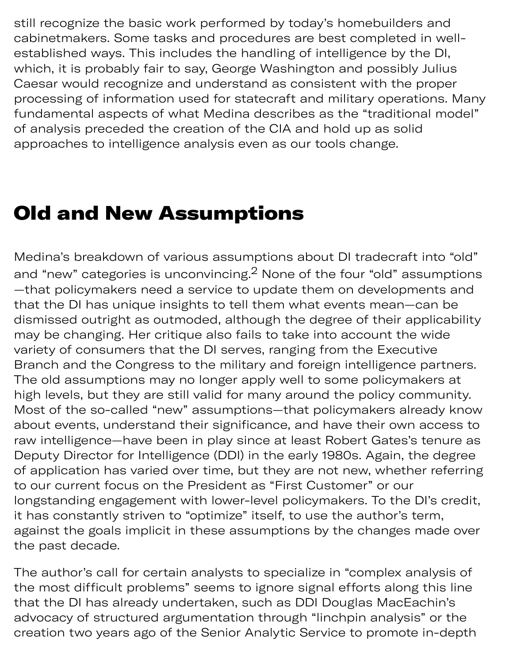still recognize the basic work performed by today's homebuilders and cabinetmakers. Some tasks and procedures are best completed in wellestablished ways. This includes the handling of intelligence by the DI, which, it is probably fair to say, George Washington and possibly Julius Caesar would recognize and understand as consistent with the proper processing of information used for statecraft and military operations. Many fundamental aspects of what Medina describes as the "traditional model" of analysis preceded the creation of the CIA and hold up as solid approaches to intelligence analysis even as our tools change.

#### Old and New Assumptions

Medina's breakdown of various assumptions about DI tradecraft into "old" and "new" categories is unconvincing. $^2$  None of the four "old" assumptions —that policymakers need a service to update them on developments and that the DI has unique insights to tell them what events mean—can be dismissed outright as outmoded, although the degree of their applicability may be changing. Her critique also fails to take into account the wide variety of consumers that the DI serves, ranging from the Executive Branch and the Congress to the military and foreign intelligence partners. The old assumptions may no longer apply well to some policymakers at high levels, but they are still valid for many around the policy community. Most of the so-called "new" assumptions—that policymakers already know about events, understand their significance, and have their own access to raw intelligence—have been in play since at least Robert Gates's tenure as Deputy Director for Intelligence (DDI) in the early 1980s. Again, the degree of application has varied over time, but they are not new, whether referring to our current focus on the President as "First Customer" or our longstanding engagement with lower-level policymakers. To the DI's credit, it has constantly striven to "optimize" itself, to use the author's term, against the goals implicit in these assumptions by the changes made over the past decade.

The author's call for certain analysts to specialize in "complex analysis of the most difficult problems" seems to ignore signal efforts along this line that the DI has already undertaken, such as DDI Douglas MacEachin's advocacy of structured argumentation through "linchpin analysis" or the creation two years ago of the Senior Analytic Service to promote in-depth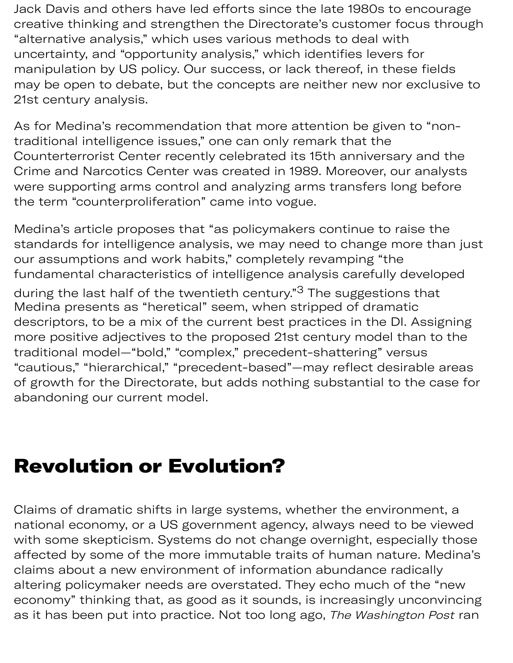Jack Davis and others have led efforts since the late 1980s to encourage creative thinking and strengthen the Directorate's customer focus through "alternative analysis," which uses various methods to deal with uncertainty, and "opportunity analysis," which identifies levers for manipulation by US policy. Our success, or lack thereof, in these fields may be open to debate, but the concepts are neither new nor exclusive to 21st century analysis.

As for Medina's recommendation that more attention be given to "nontraditional intelligence issues," one can only remark that the Counterterrorist Center recently celebrated its 15th anniversary and the Crime and Narcotics Center was created in 1989. Moreover, our analysts were supporting arms control and analyzing arms transfers long before the term "counterproliferation" came into vogue.

Medina's article proposes that "as policymakers continue to raise the standards for intelligence analysis, we may need to change more than just our assumptions and work habits," completely revamping "the fundamental characteristics of intelligence analysis carefully developed

during the last half of the twentieth century."<sup>3</sup> The suggestions that Medina presents as "heretical" seem, when stripped of dramatic descriptors, to be a mix of the current best practices in the DI. Assigning more positive adjectives to the proposed 21st century model than to the traditional model—"bold," "complex," precedent-shattering" versus "cautious," "hierarchical," "precedent-based"—may reflect desirable areas of growth for the Directorate, but adds nothing substantial to the case for abandoning our current model.

#### Revolution or Evolution?

Claims of dramatic shifts in large systems, whether the environment, a national economy, or a US government agency, always need to be viewed with some skepticism. Systems do not change overnight, especially those affected by some of the more immutable traits of human nature. Medina's claims about a new environment of information abundance radically altering policymaker needs are overstated. They echo much of the "new economy" thinking that, as good as it sounds, is increasingly unconvincing as it has been put into practice. Not too long ago, The Washington Post ran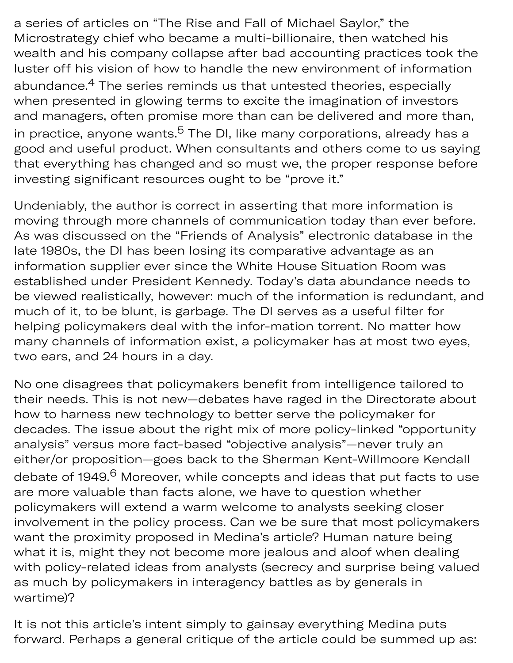a series of articles on "The Rise and Fall of Michael Saylor," the Microstrategy chief who became a multi-billionaire, then watched his wealth and his company collapse after bad accounting practices took the luster off his vision of how to handle the new environment of information abundance. $\rm ^4$  The series reminds us that untested theories, especially when presented in glowing terms to excite the imagination of investors and managers, often promise more than can be delivered and more than, in practice, anyone wants.<sup>5</sup> The DI, like many corporations, already has a good and useful product. When consultants and others come to us saying that everything has changed and so must we, the proper response before investing significant resources ought to be "prove it."

Undeniably, the author is correct in asserting that more information is moving through more channels of communication today than ever before. As was discussed on the "Friends of Analysis" electronic database in the late 1980s, the DI has been losing its comparative advantage as an information supplier ever since the White House Situation Room was established under President Kennedy. Today's data abundance needs to be viewed realistically, however: much of the information is redundant, and much of it, to be blunt, is garbage. The DI serves as a useful filter for helping policymakers deal with the infor-mation torrent. No matter how many channels of information exist, a policymaker has at most two eyes, two ears, and 24 hours in a day.

No one disagrees that policymakers benefit from intelligence tailored to their needs. This is not new—debates have raged in the Directorate about how to harness new technology to better serve the policymaker for decades. The issue about the right mix of more policy-linked "opportunity analysis" versus more fact-based "objective analysis"—never truly an either/or proposition—goes back to the Sherman Kent-Willmoore Kendall debate of 1949.<sup>6</sup> Moreover, while concepts and ideas that put facts to use are more valuable than facts alone, we have to question whether policymakers will extend a warm welcome to analysts seeking closer involvement in the policy process. Can we be sure that most policymakers want the proximity proposed in Medina's article? Human nature being what it is, might they not become more jealous and aloof when dealing with policy-related ideas from analysts (secrecy and surprise being valued as much by policymakers in interagency battles as by generals in wartime)?

It is not this article's intent simply to gainsay everything Medina puts forward. Perhaps a general critique of the article could be summed up as: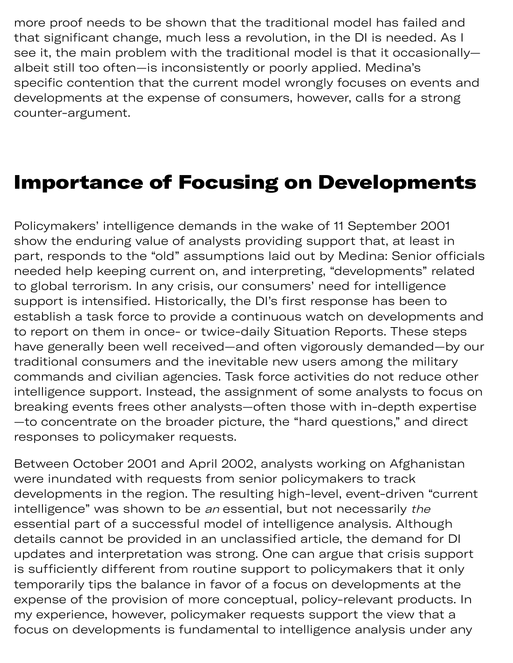more proof needs to be shown that the traditional model has failed and that significant change, much less a revolution, in the DI is needed. As I see it, the main problem with the traditional model is that it occasionally albeit still too often—is inconsistently or poorly applied. Medina's specific contention that the current model wrongly focuses on events and developments at the expense of consumers, however, calls for a strong counter-argument.

#### Importance of Focusing on Developments

Policymakers' intelligence demands in the wake of 11 September 2001 show the enduring value of analysts providing support that, at least in part, responds to the "old" assumptions laid out by Medina: Senior officials needed help keeping current on, and interpreting, "developments" related to global terrorism. In any crisis, our consumers' need for intelligence support is intensified. Historically, the DI's first response has been to establish a task force to provide a continuous watch on developments and to report on them in once- or twice-daily Situation Reports. These steps have generally been well received—and often vigorously demanded—by our traditional consumers and the inevitable new users among the military commands and civilian agencies. Task force activities do not reduce other intelligence support. Instead, the assignment of some analysts to focus on breaking events frees other analysts—often those with in-depth expertise —to concentrate on the broader picture, the "hard questions," and direct responses to policymaker requests.

Between October 2001 and April 2002, analysts working on Afghanistan were inundated with requests from senior policymakers to track developments in the region. The resulting high-level, event-driven "current intelligence" was shown to be an essential, but not necessarily the essential part of a successful model of intelligence analysis. Although details cannot be provided in an unclassified article, the demand for DI updates and interpretation was strong. One can argue that crisis support is sufficiently different from routine support to policymakers that it only temporarily tips the balance in favor of a focus on developments at the expense of the provision of more conceptual, policy-relevant products. In my experience, however, policymaker requests support the view that a focus on developments is fundamental to intelligence analysis under any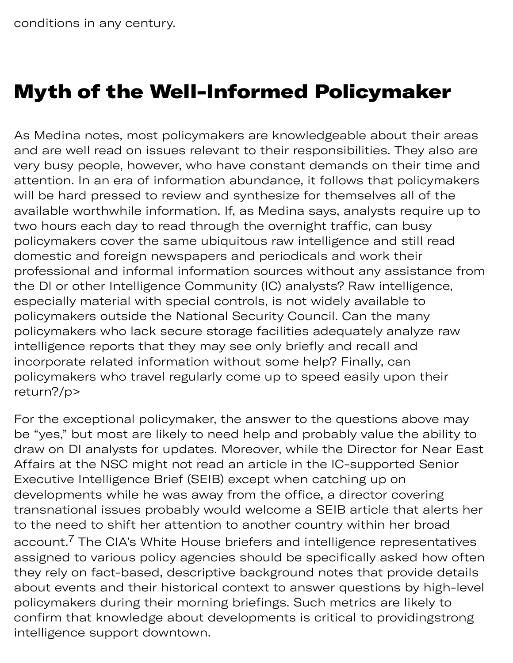# Myth of the Well-Informed Policymaker

As Medina notes, most policymakers are knowledgeable about their areas and are well read on issues relevant to their responsibilities. They also are very busy people, however, who have constant demands on their time and attention. In an era of information abundance, it follows that policymakers will be hard pressed to review and synthesize for themselves all of the available worthwhile information. If, as Medina says, analysts require up to two hours each day to read through the overnight traffic, can busy policymakers cover the same ubiquitous raw intelligence and still read domestic and foreign newspapers and periodicals and work their professional and informal information sources without any assistance from the DI or other Intelligence Community (IC) analysts? Raw intelligence, especially material with special controls, is not widely available to policymakers outside the National Security Council. Can the many policymakers who lack secure storage facilities adequately analyze raw intelligence reports that they may see only briefly and recall and incorporate related information without some help? Finally, can policymakers who travel regularly come up to speed easily upon their return?/p>

For the exceptional policymaker, the answer to the questions above may be "yes," but most are likely to need help and probably value the ability to draw on DI analysts for updates. Moreover, while the Director for Near East Affairs at the NSC might not read an article in the IC-supported Senior Executive Intelligence Brief (SEIB) except when catching up on developments while he was away from the office, a director covering transnational issues probably would welcome a SEIB article that alerts her to the need to shift her attention to another country within her broad account. $^7$  The CIA's White House briefers and intelligence representatives assigned to various policy agencies should be specifically asked how often they rely on fact-based, descriptive background notes that provide details about events and their historical context to answer questions by high-level policymakers during their morning briefings. Such metrics are likely to confirm that knowledge about developments is critical to providingstrong intelligence support downtown.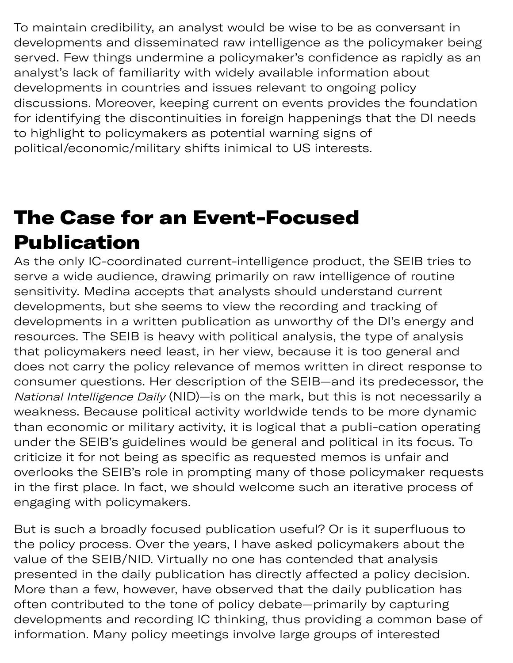To maintain credibility, an analyst would be wise to be as conversant in developments and disseminated raw intelligence as the policymaker being served. Few things undermine a policymaker's confidence as rapidly as an analyst's lack of familiarity with widely available information about developments in countries and issues relevant to ongoing policy discussions. Moreover, keeping current on events provides the foundation for identifying the discontinuities in foreign happenings that the DI needs to highlight to policymakers as potential warning signs of political/economic/military shifts inimical to US interests.

# The Case for an Event-Focused Publication

As the only IC-coordinated current-intelligence product, the SEIB tries to serve a wide audience, drawing primarily on raw intelligence of routine sensitivity. Medina accepts that analysts should understand current developments, but she seems to view the recording and tracking of developments in a written publication as unworthy of the DI's energy and resources. The SEIB is heavy with political analysis, the type of analysis that policymakers need least, in her view, because it is too general and does not carry the policy relevance of memos written in direct response to consumer questions. Her description of the SEIB—and its predecessor, the National Intelligence Daily (NID)—is on the mark, but this is not necessarily a weakness. Because political activity worldwide tends to be more dynamic than economic or military activity, it is logical that a publi-cation operating under the SEIB's guidelines would be general and political in its focus. To criticize it for not being as specific as requested memos is unfair and overlooks the SEIB's role in prompting many of those policymaker requests in the first place. In fact, we should welcome such an iterative process of engaging with policymakers.

But is such a broadly focused publication useful? Or is it superfluous to the policy process. Over the years, I have asked policymakers about the value of the SEIB/NID. Virtually no one has contended that analysis presented in the daily publication has directly affected a policy decision. More than a few, however, have observed that the daily publication has often contributed to the tone of policy debate—primarily by capturing developments and recording IC thinking, thus providing a common base of information. Many policy meetings involve large groups of interested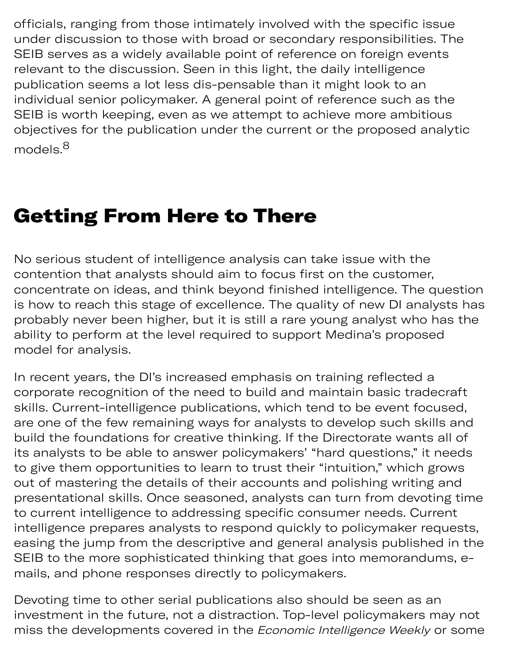officials, ranging from those intimately involved with the specific issue under discussion to those with broad or secondary responsibilities. The SEIB serves as a widely available point of reference on foreign events relevant to the discussion. Seen in this light, the daily intelligence publication seems a lot less dis-pensable than it might look to an individual senior policymaker. A general point of reference such as the SEIB is worth keeping, even as we attempt to achieve more ambitious objectives for the publication under the current or the proposed analytic models.<sup>8</sup>

#### Getting From Here to There

No serious student of intelligence analysis can take issue with the contention that analysts should aim to focus first on the customer, concentrate on ideas, and think beyond finished intelligence. The question is how to reach this stage of excellence. The quality of new DI analysts has probably never been higher, but it is still a rare young analyst who has the ability to perform at the level required to support Medina's proposed model for analysis.

In recent years, the DI's increased emphasis on training reflected a corporate recognition of the need to build and maintain basic tradecraft skills. Current-intelligence publications, which tend to be event focused, are one of the few remaining ways for analysts to develop such skills and build the foundations for creative thinking. If the Directorate wants all of its analysts to be able to answer policymakers' "hard questions," it needs to give them opportunities to learn to trust their "intuition," which grows out of mastering the details of their accounts and polishing writing and presentational skills. Once seasoned, analysts can turn from devoting time to current intelligence to addressing specific consumer needs. Current intelligence prepares analysts to respond quickly to policymaker requests, easing the jump from the descriptive and general analysis published in the SEIB to the more sophisticated thinking that goes into memorandums, emails, and phone responses directly to policymakers.

Devoting time to other serial publications also should be seen as an investment in the future, not a distraction. Top-level policymakers may not miss the developments covered in the *Economic Intelligence Weekly* or some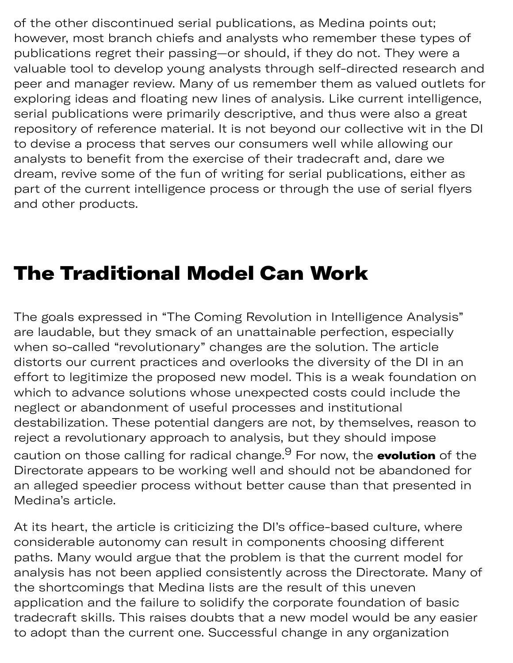of the other discontinued serial publications, as Medina points out; however, most branch chiefs and analysts who remember these types of publications regret their passing—or should, if they do not. They were a valuable tool to develop young analysts through self-directed research and peer and manager review. Many of us remember them as valued outlets for exploring ideas and floating new lines of analysis. Like current intelligence, serial publications were primarily descriptive, and thus were also a great repository of reference material. It is not beyond our collective wit in the DI to devise a process that serves our consumers well while allowing our analysts to benefit from the exercise of their tradecraft and, dare we dream, revive some of the fun of writing for serial publications, either as part of the current intelligence process or through the use of serial flyers and other products.

### The Traditional Model Can Work

The goals expressed in "The Coming Revolution in Intelligence Analysis" are laudable, but they smack of an unattainable perfection, especially when so-called "revolutionary" changes are the solution. The article distorts our current practices and overlooks the diversity of the DI in an effort to legitimize the proposed new model. This is a weak foundation on which to advance solutions whose unexpected costs could include the neglect or abandonment of useful processes and institutional destabilization. These potential dangers are not, by themselves, reason to reject a revolutionary approach to analysis, but they should impose caution on those calling for radical change.<sup>9</sup> For now, the **evolution** of the Directorate appears to be working well and should not be abandoned for an alleged speedier process without better cause than that presented in Medina's article.

At its heart, the article is criticizing the DI's office-based culture, where considerable autonomy can result in components choosing different paths. Many would argue that the problem is that the current model for analysis has not been applied consistently across the Directorate. Many of the shortcomings that Medina lists are the result of this uneven application and the failure to solidify the corporate foundation of basic tradecraft skills. This raises doubts that a new model would be any easier to adopt than the current one. Successful change in any organization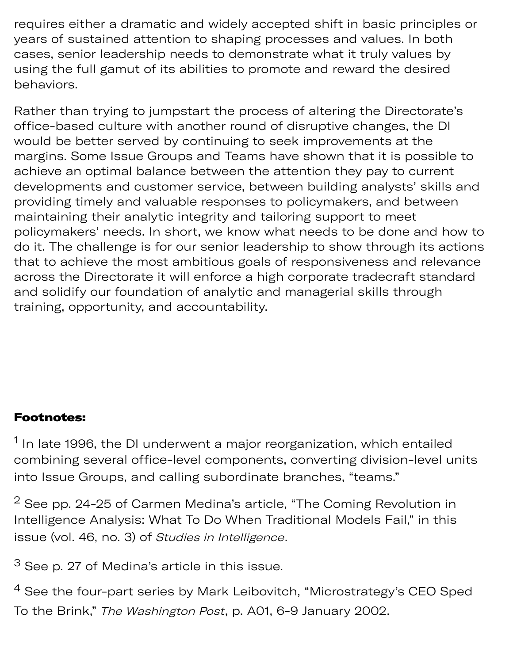requires either a dramatic and widely accepted shift in basic principles or years of sustained attention to shaping processes and values. In both cases, senior leadership needs to demonstrate what it truly values by using the full gamut of its abilities to promote and reward the desired behaviors.

Rather than trying to jumpstart the process of altering the Directorate's office-based culture with another round of disruptive changes, the DI would be better served by continuing to seek improvements at the margins. Some Issue Groups and Teams have shown that it is possible to achieve an optimal balance between the attention they pay to current developments and customer service, between building analysts' skills and providing timely and valuable responses to policymakers, and between maintaining their analytic integrity and tailoring support to meet policymakers' needs. In short, we know what needs to be done and how to do it. The challenge is for our senior leadership to show through its actions that to achieve the most ambitious goals of responsiveness and relevance across the Directorate it will enforce a high corporate tradecraft standard and solidify our foundation of analytic and managerial skills through training, opportunity, and accountability.

#### Footnotes:

 $^{\text{1}}$  In late 1996, the DI underwent a major reorganization, which entailed combining several office-level components, converting division-level units into Issue Groups, and calling subordinate branches, "teams."

 $2$  See pp. 24-25 of Carmen Medina's article, "The Coming Revolution in Intelligence Analysis: What To Do When Traditional Models Fail," in this issue (vol. 46, no. 3) of Studies in Intelligence.

 $3$  See p. 27 of Medina's article in this issue.

 $4$  See the four-part series by Mark Leibovitch, "Microstrategy's CEO Sped To the Brink," The Washington Post, p. A01, 6-9 January 2002.